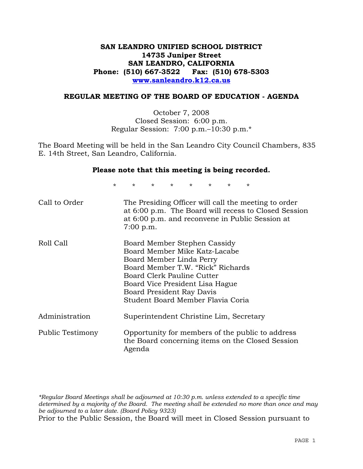#### **SAN LEANDRO UNIFIED SCHOOL DISTRICT 14735 Juniper Street SAN LEANDRO, CALIFORNIA Phone: (510) 667-3522 Fax: (510) 678-5303 www.sanleandro.k12.ca.us**

#### **REGULAR MEETING OF THE BOARD OF EDUCATION - AGENDA**

October 7, 2008 Closed Session: 6:00 p.m. Regular Session: 7:00 p.m.–10:30 p.m.\*

The Board Meeting will be held in the San Leandro City Council Chambers, 835 E. 14th Street, San Leandro, California.

#### **Please note that this meeting is being recorded.**

\* \* \* \* \* \* \* \*

| Call to Order    | The Presiding Officer will call the meeting to order<br>at 6:00 p.m. The Board will recess to Closed Session<br>at 6:00 p.m. and reconvene in Public Session at<br>$7:00$ p.m.                                                                                    |
|------------------|-------------------------------------------------------------------------------------------------------------------------------------------------------------------------------------------------------------------------------------------------------------------|
| Roll Call        | Board Member Stephen Cassidy<br>Board Member Mike Katz-Lacabe<br>Board Member Linda Perry<br>Board Member T.W. "Rick" Richards<br>Board Clerk Pauline Cutter<br>Board Vice President Lisa Hague<br>Board President Ray Davis<br>Student Board Member Flavia Coria |
| Administration   | Superintendent Christine Lim, Secretary                                                                                                                                                                                                                           |
| Public Testimony | Opportunity for members of the public to address<br>the Board concerning items on the Closed Session<br>Agenda                                                                                                                                                    |

*\*Regular Board Meetings shall be adjourned at 10:30 p.m. unless extended to a specific time determined by a majority of the Board. The meeting shall be extended no more than once and may be adjourned to a later date. (Board Policy 9323)*  Prior to the Public Session, the Board will meet in Closed Session pursuant to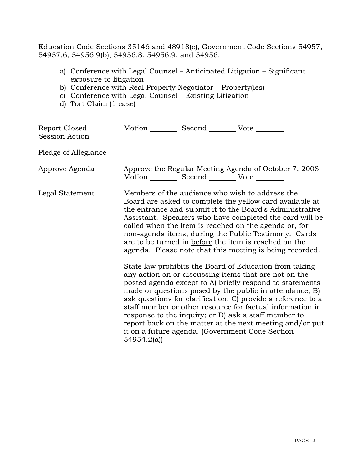Education Code Sections 35146 and 48918(c), Government Code Sections 54957, 54957.6, 54956.9(b), 54956.8, 54956.9, and 54956.

- a) Conference with Legal Counsel Anticipated Litigation Significant exposure to litigation
- b) Conference with Real Property Negotiator Property(ies)
- c) Conference with Legal Counsel Existing Litigation
- d) Tort Claim (1 case)

| Report Closed<br>Session Action | Motion Second Vote                                                                                                                                                                                                                                                                                                                                                                                                                                                       |  |                                                                                                                                                                                                                                                                                                                                                                                                                                                                                                                                            |
|---------------------------------|--------------------------------------------------------------------------------------------------------------------------------------------------------------------------------------------------------------------------------------------------------------------------------------------------------------------------------------------------------------------------------------------------------------------------------------------------------------------------|--|--------------------------------------------------------------------------------------------------------------------------------------------------------------------------------------------------------------------------------------------------------------------------------------------------------------------------------------------------------------------------------------------------------------------------------------------------------------------------------------------------------------------------------------------|
| Pledge of Allegiance            |                                                                                                                                                                                                                                                                                                                                                                                                                                                                          |  |                                                                                                                                                                                                                                                                                                                                                                                                                                                                                                                                            |
| Approve Agenda                  | Motion ___________ Second _____________ Vote _________                                                                                                                                                                                                                                                                                                                                                                                                                   |  | Approve the Regular Meeting Agenda of October 7, 2008                                                                                                                                                                                                                                                                                                                                                                                                                                                                                      |
| Legal Statement                 | Members of the audience who wish to address the<br>Board are asked to complete the yellow card available at<br>the entrance and submit it to the Board's Administrative<br>Assistant. Speakers who have completed the card will be<br>called when the item is reached on the agenda or, for<br>non-agenda items, during the Public Testimony. Cards<br>are to be turned in before the item is reached on the<br>agenda. Please note that this meeting is being recorded. |  |                                                                                                                                                                                                                                                                                                                                                                                                                                                                                                                                            |
|                                 | 54954.2(a)                                                                                                                                                                                                                                                                                                                                                                                                                                                               |  | State law prohibits the Board of Education from taking<br>any action on or discussing items that are not on the<br>posted agenda except to A) briefly respond to statements<br>made or questions posed by the public in attendance; B)<br>ask questions for clarification; C) provide a reference to a<br>staff member or other resource for factual information in<br>response to the inquiry; or D) ask a staff member to<br>report back on the matter at the next meeting and/or put<br>it on a future agenda. (Government Code Section |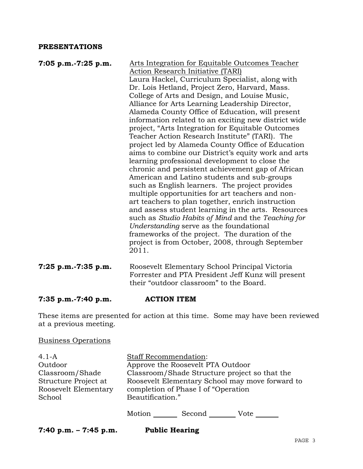#### **PRESENTATIONS**

| 7:05 p.m.-7:25 p.m. | Arts Integration for Equitable Outcomes Teacher                                               |
|---------------------|-----------------------------------------------------------------------------------------------|
|                     | <b>Action Research Initiative (TARI)</b>                                                      |
|                     | Laura Hackel, Curriculum Specialist, along with                                               |
|                     | Dr. Lois Hetland, Project Zero, Harvard, Mass.                                                |
|                     | College of Arts and Design, and Louise Music,                                                 |
|                     | Alliance for Arts Learning Leadership Director,                                               |
|                     | Alameda County Office of Education, will present                                              |
|                     | information related to an exciting new district wide                                          |
|                     | project, "Arts Integration for Equitable Outcomes                                             |
|                     | Teacher Action Research Institute" (TARI). The                                                |
|                     | project led by Alameda County Office of Education                                             |
|                     | aims to combine our District's equity work and arts                                           |
|                     | learning professional development to close the                                                |
|                     | chronic and persistent achievement gap of African                                             |
|                     | American and Latino students and sub-groups                                                   |
|                     | such as English learners. The project provides                                                |
|                     | multiple opportunities for art teachers and non-                                              |
|                     | art teachers to plan together, enrich instruction                                             |
|                     | and assess student learning in the arts. Resources                                            |
|                     | such as Studio Habits of Mind and the Teaching for                                            |
|                     | Understanding serve as the foundational                                                       |
|                     | frameworks of the project. The duration of the                                                |
|                     | project is from October, 2008, through September                                              |
|                     | 2011.                                                                                         |
|                     |                                                                                               |
| 7:25 p.m.-7:35 p.m. | Roosevelt Elementary School Principal Victoria                                                |
|                     | Forrester and PTA President Jeff Kunz will present<br>their "outdoor classroom" to the Board. |
|                     |                                                                                               |

### **7:35 p.m.-7:40 p.m. ACTION ITEM**

These items are presented for action at this time. Some may have been reviewed at a previous meeting.

## Business Operations

| $4.1-A$              | Staff Recommendation:                           |
|----------------------|-------------------------------------------------|
| Outdoor              | Approve the Roosevelt PTA Outdoor               |
| Classroom/Shade      | Classroom/Shade Structure project so that the   |
| Structure Project at | Roosevelt Elementary School may move forward to |
| Roosevelt Elementary | completion of Phase I of "Operation"            |
| School               | Beautification."                                |
|                      |                                                 |
|                      | Motion<br>Second<br>Vote                        |

**7:40 p.m. – 7:45 p.m. Public Hearing**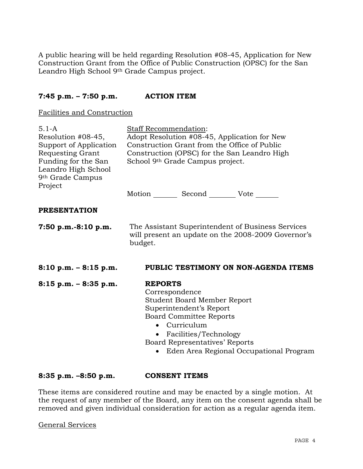A public hearing will be held regarding Resolution #08-45, Application for New Construction Grant from the Office of Public Construction (OPSC) for the San Leandro High School 9th Grade Campus project.

#### **7:45 p.m. – 7:50 p.m. ACTION ITEM**

Facilities and Construction

| $5.1-A$<br>Resolution #08-45,<br>Support of Application<br>Requesting Grant<br>Funding for the San<br>Leandro High School<br>9 <sup>th</sup> Grade Campus<br>Project | Staff Recommendation:<br>Adopt Resolution #08-45, Application for New<br>Construction Grant from the Office of Public<br>Construction (OPSC) for the San Leandro High<br>School 9th Grade Campus project.<br>Motion Second Vote ______               |
|----------------------------------------------------------------------------------------------------------------------------------------------------------------------|------------------------------------------------------------------------------------------------------------------------------------------------------------------------------------------------------------------------------------------------------|
| <b>PRESENTATION</b>                                                                                                                                                  |                                                                                                                                                                                                                                                      |
| $7:50$ p.m.-8:10 p.m.                                                                                                                                                | The Assistant Superintendent of Business Services<br>will present an update on the 2008-2009 Governor's<br>budget.                                                                                                                                   |
| $8:10$ p.m. $-8:15$ p.m.                                                                                                                                             | PUBLIC TESTIMONY ON NON-AGENDA ITEMS                                                                                                                                                                                                                 |
| $8:15$ p.m. $-8:35$ p.m.                                                                                                                                             | <b>REPORTS</b><br>Correspondence<br>Student Board Member Report<br>Superintendent's Report<br><b>Board Committee Reports</b><br>• Curriculum<br>• Facilities/Technology<br>Board Representatives' Reports<br>Eden Area Regional Occupational Program |

**8:35 p.m. –8:50 p.m. CONSENT ITEMS** 

These items are considered routine and may be enacted by a single motion. At the request of any member of the Board, any item on the consent agenda shall be removed and given individual consideration for action as a regular agenda item.

General Services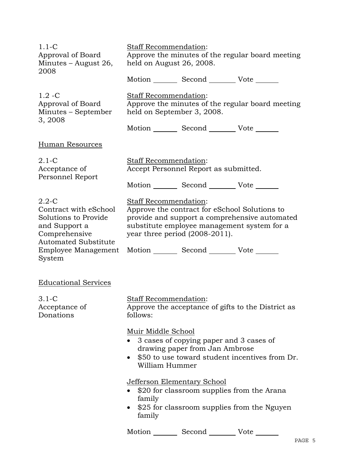| $1.1-C$<br>Approval of Board<br>Minutes $-$ August 26,<br>2008                                                                                                                                   | Staff Recommendation:<br>held on August 26, 2008.          |                                                                           | Approve the minutes of the regular board meeting                                             |
|--------------------------------------------------------------------------------------------------------------------------------------------------------------------------------------------------|------------------------------------------------------------|---------------------------------------------------------------------------|----------------------------------------------------------------------------------------------|
| $1.2 - C$<br>Approval of Board<br>Minutes – September<br>3, 2008                                                                                                                                 | Staff Recommendation:<br>held on September 3, 2008.        | Motion _________ Second __________ Vote _______                           | Approve the minutes of the regular board meeting                                             |
|                                                                                                                                                                                                  |                                                            | Motion Second Vote                                                        |                                                                                              |
| Human Resources                                                                                                                                                                                  |                                                            |                                                                           |                                                                                              |
| $2.1-C$<br>Acceptance of<br>Personnel Report                                                                                                                                                     | <b>Staff Recommendation:</b>                               | Accept Personnel Report as submitted.                                     |                                                                                              |
|                                                                                                                                                                                                  |                                                            | Motion _________ Second __________ Vote _______                           |                                                                                              |
| $2.2 - C$<br>Contract with eSchool<br>Solutions to Provide<br>and Support a<br>Comprehensive<br><b>Automated Substitute</b><br>Employee Management Motion ________ Second _________ Vote _______ | Staff Recommendation:<br>year three period $(2008-2011)$ . | Approve the contract for eSchool Solutions to                             | provide and support a comprehensive automated<br>substitute employee management system for a |
| System                                                                                                                                                                                           |                                                            |                                                                           |                                                                                              |
| <b>Educational Services</b>                                                                                                                                                                      |                                                            |                                                                           |                                                                                              |
| $3.1-C$<br>Acceptance of<br>Donations                                                                                                                                                            | Staff Recommendation:<br>follows:                          |                                                                           | Approve the acceptance of gifts to the District as                                           |
|                                                                                                                                                                                                  | Muir Middle School<br>William Hummer                       | 3 cases of copying paper and 3 cases of<br>drawing paper from Jan Ambrose | \$50 to use toward student incentives from Dr.                                               |
|                                                                                                                                                                                                  | <b>Jefferson Elementary School</b><br>family<br>family     | \$20 for classroom supplies from the Arana                                | \$25 for classroom supplies from the Nguyen                                                  |
|                                                                                                                                                                                                  | Motion                                                     | Second                                                                    | Vote                                                                                         |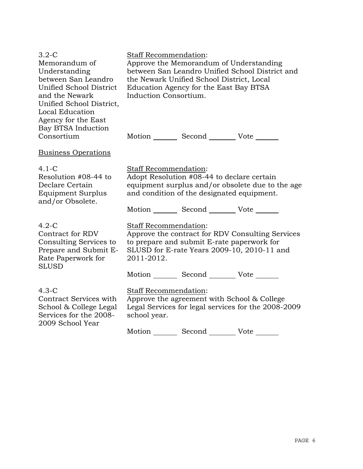| Approve the Memorandum of Understanding         |                            |                                                                                                                                                                                                                                                                                                                                                                                                                                                                                                                                                                                                                                                                                                              |
|-------------------------------------------------|----------------------------|--------------------------------------------------------------------------------------------------------------------------------------------------------------------------------------------------------------------------------------------------------------------------------------------------------------------------------------------------------------------------------------------------------------------------------------------------------------------------------------------------------------------------------------------------------------------------------------------------------------------------------------------------------------------------------------------------------------|
| between San Leandro Unified School District and |                            |                                                                                                                                                                                                                                                                                                                                                                                                                                                                                                                                                                                                                                                                                                              |
| the Newark Unified School District, Local       |                            |                                                                                                                                                                                                                                                                                                                                                                                                                                                                                                                                                                                                                                                                                                              |
| Education Agency for the East Bay BTSA          |                            |                                                                                                                                                                                                                                                                                                                                                                                                                                                                                                                                                                                                                                                                                                              |
|                                                 |                            |                                                                                                                                                                                                                                                                                                                                                                                                                                                                                                                                                                                                                                                                                                              |
|                                                 |                            |                                                                                                                                                                                                                                                                                                                                                                                                                                                                                                                                                                                                                                                                                                              |
|                                                 |                            |                                                                                                                                                                                                                                                                                                                                                                                                                                                                                                                                                                                                                                                                                                              |
|                                                 |                            |                                                                                                                                                                                                                                                                                                                                                                                                                                                                                                                                                                                                                                                                                                              |
|                                                 |                            |                                                                                                                                                                                                                                                                                                                                                                                                                                                                                                                                                                                                                                                                                                              |
|                                                 |                            |                                                                                                                                                                                                                                                                                                                                                                                                                                                                                                                                                                                                                                                                                                              |
|                                                 |                            |                                                                                                                                                                                                                                                                                                                                                                                                                                                                                                                                                                                                                                                                                                              |
|                                                 |                            |                                                                                                                                                                                                                                                                                                                                                                                                                                                                                                                                                                                                                                                                                                              |
|                                                 |                            |                                                                                                                                                                                                                                                                                                                                                                                                                                                                                                                                                                                                                                                                                                              |
|                                                 |                            |                                                                                                                                                                                                                                                                                                                                                                                                                                                                                                                                                                                                                                                                                                              |
| and condition of the designated equipment.      |                            |                                                                                                                                                                                                                                                                                                                                                                                                                                                                                                                                                                                                                                                                                                              |
|                                                 |                            |                                                                                                                                                                                                                                                                                                                                                                                                                                                                                                                                                                                                                                                                                                              |
|                                                 |                            |                                                                                                                                                                                                                                                                                                                                                                                                                                                                                                                                                                                                                                                                                                              |
|                                                 |                            |                                                                                                                                                                                                                                                                                                                                                                                                                                                                                                                                                                                                                                                                                                              |
|                                                 |                            |                                                                                                                                                                                                                                                                                                                                                                                                                                                                                                                                                                                                                                                                                                              |
|                                                 |                            |                                                                                                                                                                                                                                                                                                                                                                                                                                                                                                                                                                                                                                                                                                              |
|                                                 |                            |                                                                                                                                                                                                                                                                                                                                                                                                                                                                                                                                                                                                                                                                                                              |
|                                                 |                            |                                                                                                                                                                                                                                                                                                                                                                                                                                                                                                                                                                                                                                                                                                              |
|                                                 |                            |                                                                                                                                                                                                                                                                                                                                                                                                                                                                                                                                                                                                                                                                                                              |
|                                                 |                            |                                                                                                                                                                                                                                                                                                                                                                                                                                                                                                                                                                                                                                                                                                              |
|                                                 |                            |                                                                                                                                                                                                                                                                                                                                                                                                                                                                                                                                                                                                                                                                                                              |
|                                                 |                            |                                                                                                                                                                                                                                                                                                                                                                                                                                                                                                                                                                                                                                                                                                              |
|                                                 |                            |                                                                                                                                                                                                                                                                                                                                                                                                                                                                                                                                                                                                                                                                                                              |
|                                                 |                            |                                                                                                                                                                                                                                                                                                                                                                                                                                                                                                                                                                                                                                                                                                              |
|                                                 |                            |                                                                                                                                                                                                                                                                                                                                                                                                                                                                                                                                                                                                                                                                                                              |
|                                                 | 2011-2012.<br>school year. | <b>Staff Recommendation:</b><br>Induction Consortium.<br>Motion _________ Second __________ Vote _______<br><b>Staff Recommendation:</b><br>Adopt Resolution #08-44 to declare certain<br>equipment surplus and/or obsolete due to the age<br>Motion _________ Second __________ Vote _______<br>Staff Recommendation:<br>Approve the contract for RDV Consulting Services<br>to prepare and submit E-rate paperwork for<br>SLUSD for E-rate Years 2009-10, 2010-11 and<br>Motion _________ Second __________ Vote _______<br>Staff Recommendation:<br>Approve the agreement with School & College<br>Legal Services for legal services for the 2008-2009<br>Motion _________ Second __________ Vote _______ |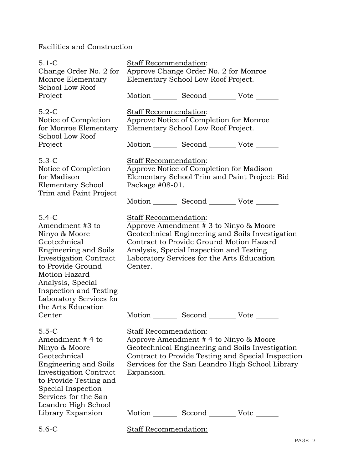# Facilities and Construction

| $5.1 - C$<br>Change Order No. 2 for<br>Monroe Elementary<br>School Low Roof<br>Project                                                                                                                                                                                                | <b>Staff Recommendation:</b><br>Approve Change Order No. 2 for Monroe<br>Elementary School Low Roof Project.<br>Motion _________ Second __________ Vote _______                                                                                                                              |
|---------------------------------------------------------------------------------------------------------------------------------------------------------------------------------------------------------------------------------------------------------------------------------------|----------------------------------------------------------------------------------------------------------------------------------------------------------------------------------------------------------------------------------------------------------------------------------------------|
| $5.2-C$<br>Notice of Completion<br>for Monroe Elementary<br>School Low Roof<br>Project                                                                                                                                                                                                | Staff Recommendation:<br>Approve Notice of Completion for Monroe<br>Elementary School Low Roof Project.<br>Motion _________ Second __________ Vote _______                                                                                                                                   |
| $5.3-C$<br>Notice of Completion<br>for Madison<br>Elementary School<br>Trim and Paint Project                                                                                                                                                                                         | Staff Recommendation:<br>Approve Notice of Completion for Madison<br>Elementary School Trim and Paint Project: Bid<br>Package $#08-01$ .<br>Motion _________ Second _________ Vote _______                                                                                                   |
| $5.4 - C$<br>Amendment #3 to<br>Ninyo & Moore<br>Geotechnical<br><b>Engineering and Soils</b><br><b>Investigation Contract</b><br>to Provide Ground<br><b>Motion Hazard</b><br>Analysis, Special<br>Inspection and Testing<br>Laboratory Services for<br>the Arts Education<br>Center | Staff Recommendation:<br>Approve Amendment $# 3$ to Ninyo & Moore<br>Geotechnical Engineering and Soils Investigation<br>Contract to Provide Ground Motion Hazard<br>Analysis, Special Inspection and Testing<br>Laboratory Services for the Arts Education<br>Center.<br>Motion Second Vote |
| $5.5 - C$<br>Amendment # 4 to<br>Ninyo & Moore<br>Geotechnical<br><b>Engineering and Soils</b><br><b>Investigation Contract</b><br>to Provide Testing and<br>Special Inspection<br>Services for the San<br>Leandro High School                                                        | <b>Staff Recommendation:</b><br>Approve Amendment #4 to Ninyo & Moore<br>Geotechnical Engineering and Soils Investigation<br>Contract to Provide Testing and Special Inspection<br>Services for the San Leandro High School Library<br>Expansion.                                            |
| Library Expansion<br>$5.6-C$                                                                                                                                                                                                                                                          | Motion Second Vote<br><b>Staff Recommendation:</b>                                                                                                                                                                                                                                           |
|                                                                                                                                                                                                                                                                                       |                                                                                                                                                                                                                                                                                              |